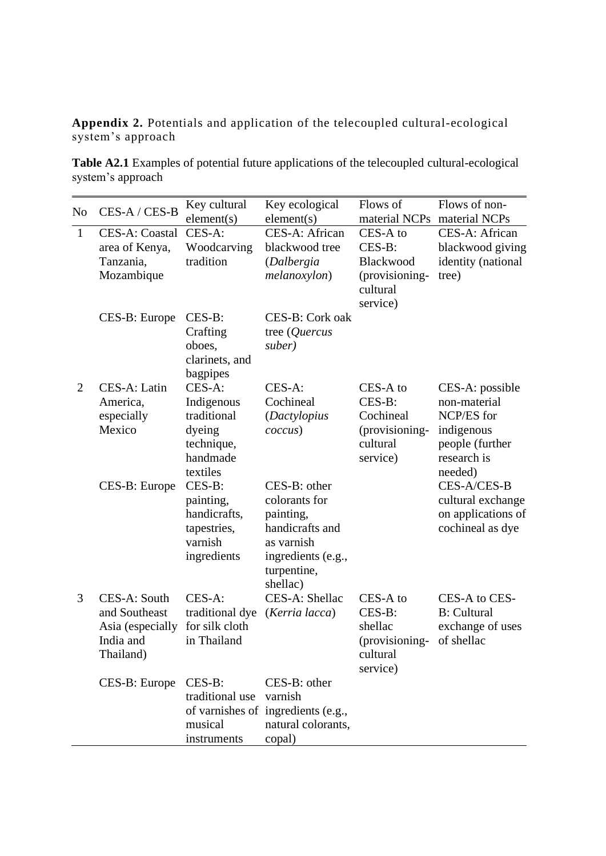**Appendix 2.** Potentials and application of the telecoupled cultural-ecological system's approach

**Table A2.1** Examples of potential future applications of the telecoupled cultural-ecological system's approach

| N <sub>o</sub> | CES-A / CES-B                                                               | Key cultural                                                                        | Key ecological                                                                                                               | Flows of                                                                  | Flows of non-                                                                                            |
|----------------|-----------------------------------------------------------------------------|-------------------------------------------------------------------------------------|------------------------------------------------------------------------------------------------------------------------------|---------------------------------------------------------------------------|----------------------------------------------------------------------------------------------------------|
| $\mathbf{1}$   | CES-A: Coastal<br>area of Kenya,                                            | element(s)<br>CES-A:<br>Woodcarving                                                 | element(s)<br>CES-A: African<br>blackwood tree                                                                               | material NCPs<br>CES-A to<br>CES-B:                                       | material NCPs<br>CES-A: African<br>blackwood giving                                                      |
|                | Tanzania,<br>Mozambique                                                     | tradition                                                                           | (Dalbergia<br>melanoxylon)                                                                                                   | Blackwood<br>(provisioning-<br>cultural<br>service)                       | identity (national<br>tree)                                                                              |
|                | CES-B: Europe                                                               | $CES-B:$<br>Crafting<br>oboes,<br>clarinets, and<br>bagpipes                        | CES-B: Cork oak<br>tree $(Quercus)$<br>suber)                                                                                |                                                                           |                                                                                                          |
| $\overline{2}$ | CES-A: Latin<br>America,<br>especially<br>Mexico                            | CES-A:<br>Indigenous<br>traditional<br>dyeing<br>technique,<br>handmade<br>textiles | $CES-A:$<br>Cochineal<br>(Dactylopius<br>coccus)                                                                             | CES-A to<br>CES-B:<br>Cochineal<br>(provisioning-<br>cultural<br>service) | CES-A: possible<br>non-material<br>NCP/ES for<br>indigenous<br>people (further<br>research is<br>needed) |
|                | CES-B: Europe                                                               | CES-B:<br>painting,<br>handicrafts,<br>tapestries,<br>varnish<br>ingredients        | CES-B: other<br>colorants for<br>painting,<br>handicrafts and<br>as varnish<br>ingredients (e.g.,<br>turpentine,<br>shellac) |                                                                           | CES-A/CES-B<br>cultural exchange<br>on applications of<br>cochineal as dye                               |
| 3              | CES-A: South<br>and Southeast<br>Asia (especially<br>India and<br>Thailand) | CES-A:<br>traditional dye<br>for silk cloth<br>in Thailand                          | CES-A: Shellac<br>(Kerria lacca)                                                                                             | CES-A to<br>CES-B:<br>shellac<br>(provisioning-<br>cultural<br>service)   | CES-A to CES-<br><b>B</b> : Cultural<br>exchange of uses<br>of shellac                                   |
|                | CES-B: Europe                                                               | $CES-B$ :<br>traditional use<br>musical<br>instruments                              | CES-B: other<br>varnish<br>of varnishes of ingredients (e.g.,<br>natural colorants,<br>copal)                                |                                                                           |                                                                                                          |